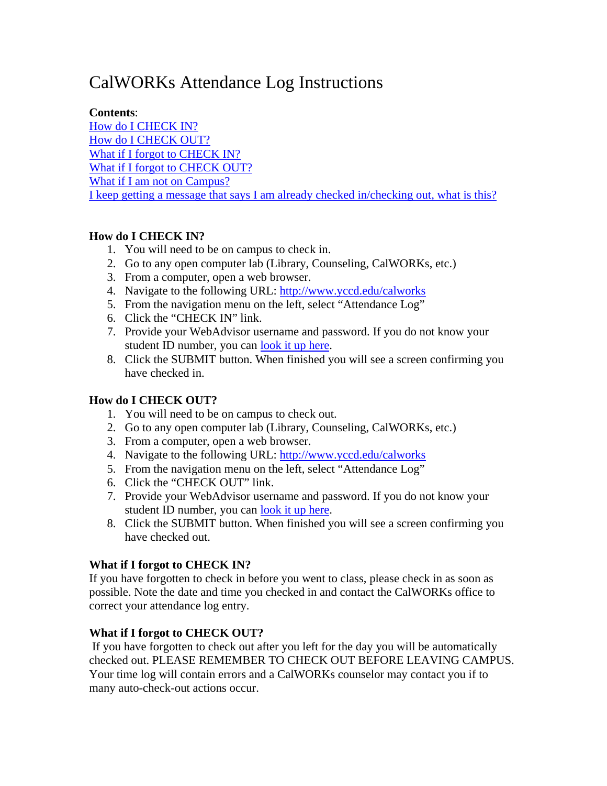# <span id="page-0-0"></span>CalWORKs Attendance Log Instructions

#### **Contents**:

[How do I CHECK IN?](#page-0-0) [How do I CHECK OUT?](#page-0-0) [What if I forgot to CHECK IN?](#page-0-0) [What if I forgot to CHECK OUT?](#page-0-0) [What if I am not on Campus?](#page-0-0) [I keep getting a message that says I am already checked in/checking out, what is this?](#page-0-0)

### **How do I CHECK IN?**

- 1. You will need to be on campus to check in.
- 2. Go to any open computer lab (Library, Counseling, CalWORKs, etc.)
- 3. From a computer, open a web browser.
- 4. Navigate to the following URL:<http://www.yccd.edu/calworks>
- 5. From the navigation menu on the left, select "Attendance Log"
- 6. Click the "CHECK IN" link.
- 7. Provide your WebAdvisor username and password. If you do not know your student ID number, you can [look it up here](https://webadvisor.yccd.edu/WebAdvisor/WebAdvisor?TOKENIDX=6080244483&SS=1&APP=CORE).
- 8. Click the SUBMIT button. When finished you will see a screen confirming you have checked in.

# **How do I CHECK OUT?**

- 1. You will need to be on campus to check out.
- 2. Go to any open computer lab (Library, Counseling, CalWORKs, etc.)
- 3. From a computer, open a web browser.
- 4. Navigate to the following URL:<http://www.yccd.edu/calworks>
- 5. From the navigation menu on the left, select "Attendance Log"
- 6. Click the "CHECK OUT" link.
- 7. Provide your WebAdvisor username and password. If you do not know your student ID number, you can [look it up here](https://webadvisor.yccd.edu/WebAdvisor/WebAdvisor?TOKENIDX=6080244483&SS=1&APP=CORE).
- 8. Click the SUBMIT button. When finished you will see a screen confirming you have checked out.

# **What if I forgot to CHECK IN?**

If you have forgotten to check in before you went to class, please check in as soon as possible. Note the date and time you checked in and contact the CalWORKs office to correct your attendance log entry.

# **What if I forgot to CHECK OUT?**

 If you have forgotten to check out after you left for the day you will be automatically checked out. PLEASE REMEMBER TO CHECK OUT BEFORE LEAVING CAMPUS. Your time log will contain errors and a CalWORKs counselor may contact you if to many auto-check-out actions occur.